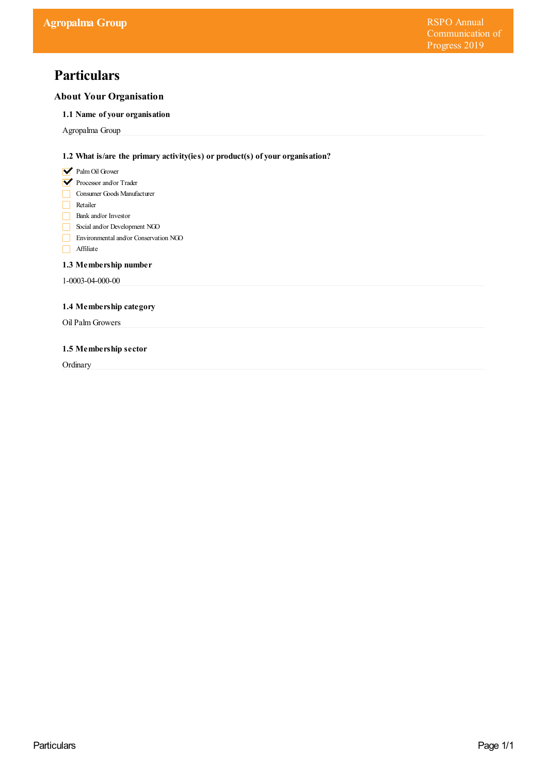# **Particulars**

# **About Your Organisation**

# **1.1 Name of your organisation**

Agropalma Group

# **1.2 What is/are the primary activity(ies) or product(s) of your organisation?**

- **V** Palm Oil Grower
- Processor and/or Trader
- Consumer Goods Manufacturer
- Retailer
- Bank and/or Investor
- Social and/or Development NGO
- Environmental and/or Conservation NGO
- Affiliate

## **1.3 Membership number**

1-0003-04-000-00

## **1.4 Membership category**

Oil Palm Growers

## **1.5 Membership sector**

**Ordinary**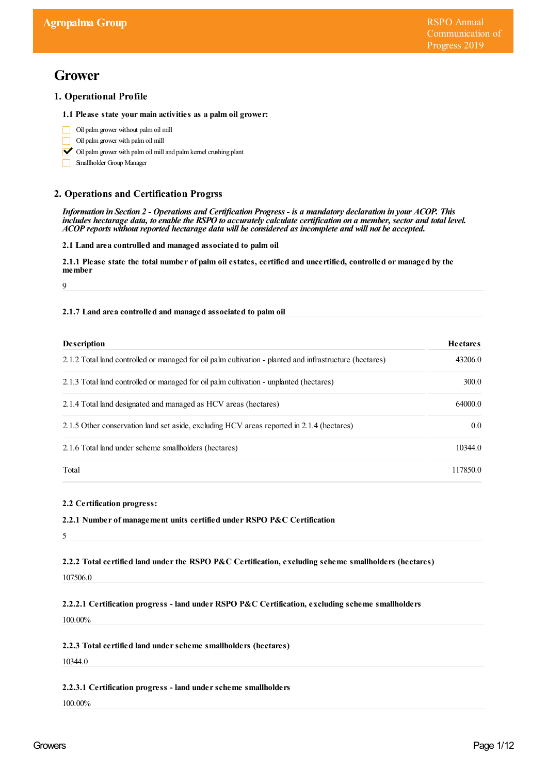# **Grower**

# **1. Operational Profile**

## **1.1 Please state your main activities as a palm oil grower:**

- Oil palmgrower without palmoil mill  $\Box$
- Oil palmgrower with palmoil mill
- $\triangleright$  Oil palm grower with palm oil mill and palm kernel crushing plant
- Smallholder Group Manager

# **2. Operations and Certification Progrss**

Information in Section 2 - Operations and Certification Progress - is a mandatory declaration in your ACOP. This includes hectarage data, to enable the RSPO to accurately calculate certification on a member, sector and total level. *ACOP reports without reported hectarage data will be considered as incomplete and will not be accepted.*

**2.1 Land area controlled and managed associated to palm oil**

2.1.1 Please state the total number of palm oil estates, certified and uncertified, controlled or managed by the member

 $\overline{Q}$ 

## **2.1.7 Land area controlled and managed associated to palm oil**

| <b>Description</b>                                                                                      | <b>Hectares</b>  |
|---------------------------------------------------------------------------------------------------------|------------------|
| 2.1.2 Total land controlled or managed for oil palm cultivation - planted and infrastructure (hectares) | 43206.0          |
| 2.1.3 Total land controlled or managed for oil palm cultivation - unplanted (hectares)                  | 300.0            |
| 2.1.4 Total land designated and managed as HCV areas (hectares)                                         | 64000.0          |
| 2.1.5 Other conservation land set aside, excluding HCV areas reported in 2.1.4 (hectares)               | 0.0 <sub>1</sub> |
| 2.1.6 Total land under scheme smallholders (hectares)                                                   | 10344.0          |
| Total                                                                                                   | 117850.0         |

## **2.2 Certification progress:**

## **2.2.1 Number of management units certified under RSPO P&C Certification**

5

**2.2.2 Total certified land underthe RSPO P&C Certification, excluding scheme smallholders (hectares)** 107506.0

**2.2.2.1 Certification progress - land under RSPO P&C Certification, excluding scheme smallholders**

100.00%

**2.2.3 Total certified land underscheme smallholders (hectares)**

10344.0

## **2.2.3.1 Certification progress - land underscheme smallholders**

100.00%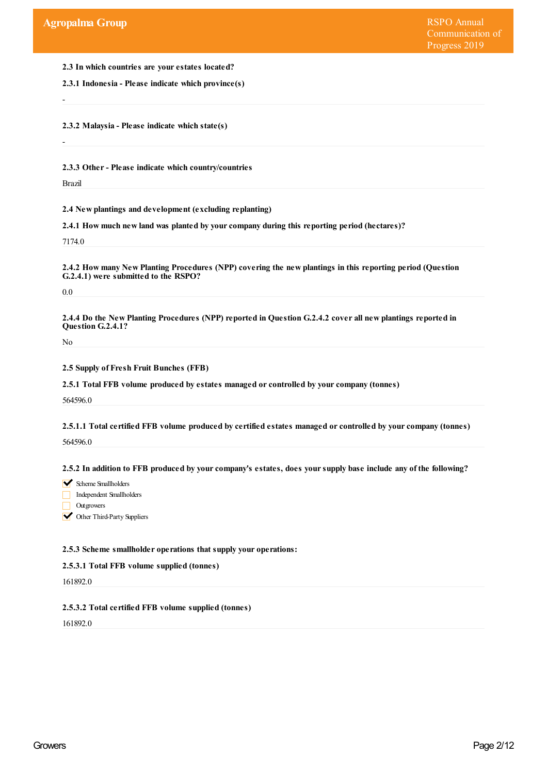**2.3 In which countries are yourestates located?**

**2.3.1 Indonesia - Please indicate which province(s)**

**2.3.2 Malaysia - Please indicate which state(s)**

**2.3.3 Other- Please indicate which country/countries**

Brazil

-

-

**2.4 New plantings and development (excluding replanting)**

**2.4.1 How much new land was planted by yourcompany during this reporting period (hectares)?**

7174.0

**2.4.2 How many New Planting Procedures (NPP) covering the new plantings in this reporting period (Question G.2.4.1) were submitted to the RSPO?**

0.0

2.4.4 Do the New Planting Procedures (NPP) reported in Question G.2.4.2 cover all new plantings reported in **Question G.2.4.1?**

No

**2.5 Supply of Fresh Fruit Bunches (FFB)**

**2.5.1 Total FFB volume produced by estates managed orcontrolled by yourcompany (tonnes)**

564596.0

**2.5.1.1 Total certified FFB volume produced by certified estates managed orcontrolled by yourcompany (tonnes)** 564596.0

2.5.2 In addition to FFB produced by your company's estates, does your supply base include any of the following?

 $\blacktriangleright$  Scheme Smallholders

Independent Smallholders

**Outgrowers** 

**V** Other Third-Party Suppliers

## **2.5.3 Scheme smallholder operations that supply your operations:**

## **2.5.3.1 Total FFB volume supplied (tonnes)**

161892.0

## **2.5.3.2 Total certified FFB volume supplied (tonnes)**

161892.0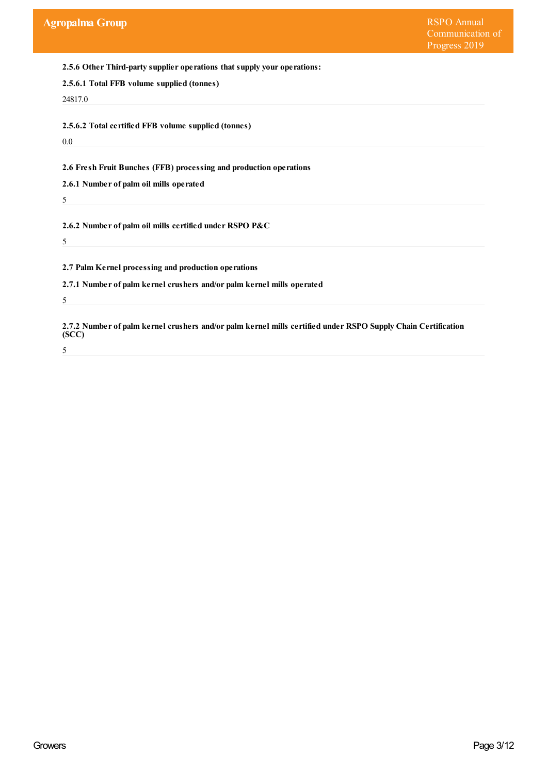**2.5.6 Other Third-party supplier operations that supply your operations:**

| 2.5.6.1 Total FFB volume supplied (tonnes) |  |
|--------------------------------------------|--|
|--------------------------------------------|--|

24817.0

**2.5.6.2 Total certified FFB volume supplied (tonnes)**

0.0

**2.6 Fresh Fruit Bunches (FFB) processing and production operations**

**2.6.1 Number of palm oil mills operated**

**2.6.2 Number of palm oil mills certified under RSPO P&C**

5

5

**2.7 Palm Kernel processing and production operations**

**2.7.1 Number of palm kernel crushers and/or palm kernel mills operated**

5

**2.7.2 Number of palm kernel crushers and/or palm kernel mills certified under RSPO Supply Chain Certification (SCC)**

5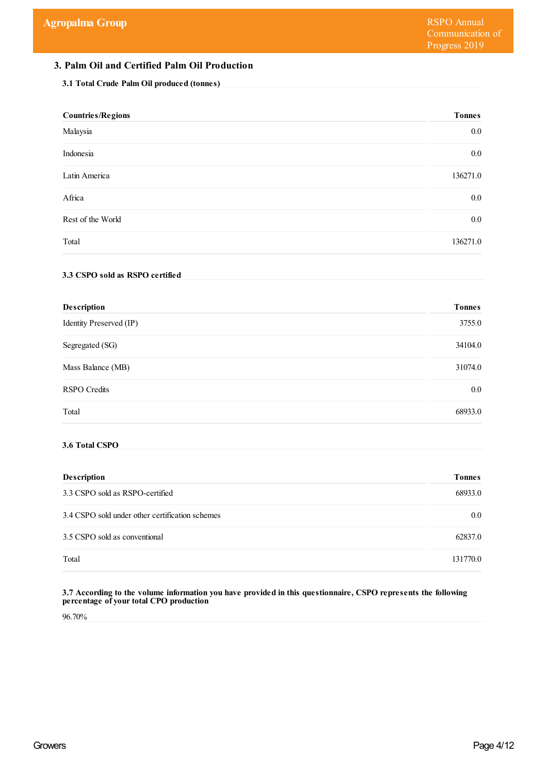# **3. Palm Oil and Certified Palm Oil Production**

## **3.1 Total Crude Palm Oil produced (tonnes)**

| <b>Countries/Regions</b>                        | <b>Tonnes</b> |
|-------------------------------------------------|---------------|
| Malaysia                                        | 0.0           |
| Indonesia                                       | 0.0           |
| Latin America                                   | 136271.0      |
| Africa                                          | 0.0           |
| Rest of the World                               | 0.0           |
| Total                                           | 136271.0      |
| 3.3 CSPO sold as RSPO certified                 |               |
| Description                                     | <b>Tonnes</b> |
| Identity Preserved (IP)                         | 3755.0        |
| Segregated (SG)                                 | 34104.0       |
| Mass Balance (MB)                               | 31074.0       |
| <b>RSPO</b> Credits                             | $0.0\,$       |
| Total                                           | 68933.0       |
| 3.6 Total CSPO                                  |               |
| Description                                     | <b>Tonnes</b> |
| 3.3 CSPO sold as RSPO-certified                 | 68933.0       |
| 3.4 CSPO sold under other certification schemes | 0.0           |
| 3.5 CSPO sold as conventional                   | 62837.0       |
| Total                                           | 131770.0      |
|                                                 |               |

#### **3.7 According to the volume information you have provided in this questionnaire, CSPO represents the following percentage of yourtotal CPO production**

96.70%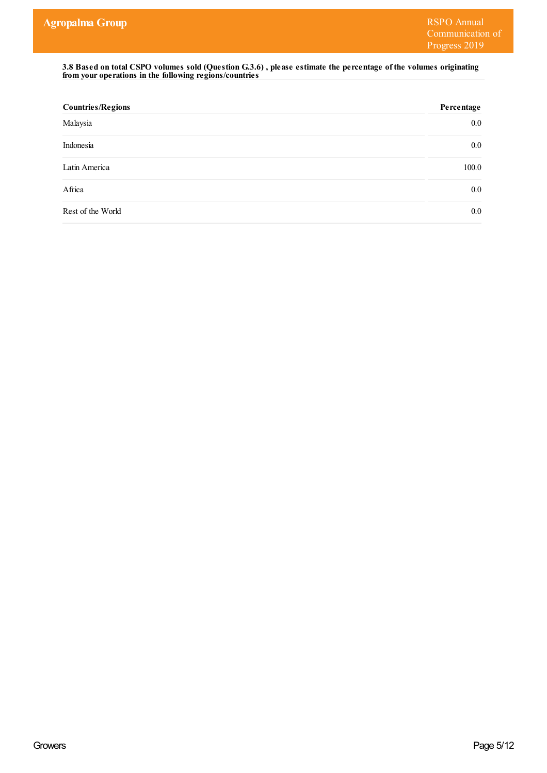3.8 Based on total CSPO volumes sold (Question G.3.6), please estimate the percentage of the volumes originating **from your operations in the following regions/countries**

| <b>Countries/Regions</b> | Percentage |
|--------------------------|------------|
| Malaysia                 | $0.0\,$    |
| Indonesia                | $0.0\,$    |
| Latin America            | 100.0      |
| Africa                   | $0.0\,$    |
| Rest of the World        | $0.0\,$    |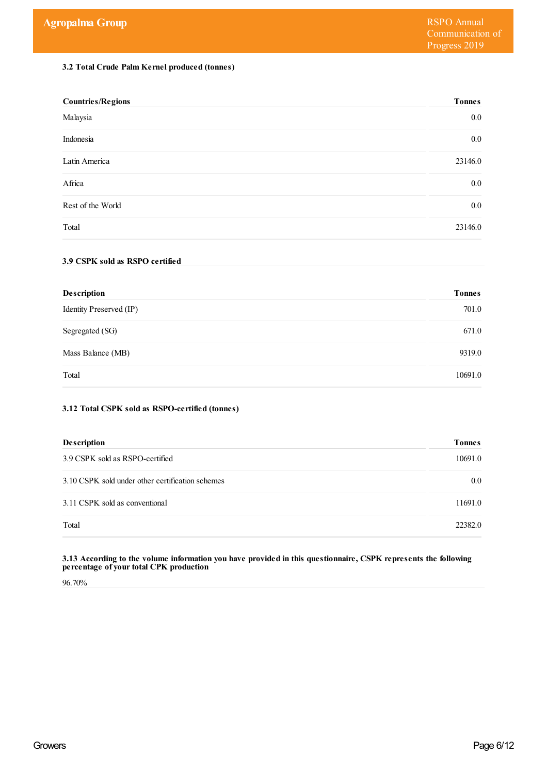## **3.2 Total Crude Palm Kernel produced (tonnes)**

| <b>Countries/Regions</b> | <b>Tonnes</b> |
|--------------------------|---------------|
| Malaysia                 | $0.0\,$       |
| Indonesia                | $0.0\,$       |
| Latin America            | 23146.0       |
| Africa                   | $0.0\,$       |
| Rest of the World        | $0.0\,$       |
| Total                    | 23146.0       |

## **3.9 CSPK sold as RSPO certified**

| <b>Description</b>      | <b>Tonnes</b> |
|-------------------------|---------------|
| Identity Preserved (IP) | 701.0         |
| Segregated (SG)         | 671.0         |
| Mass Balance (MB)       | 9319.0        |
| Total                   | 10691.0       |

## **3.12 Total CSPK sold as RSPO-certified (tonnes)**

| <b>Description</b>                               | <b>Tonnes</b> |
|--------------------------------------------------|---------------|
| 3.9 CSPK sold as RSPO-certified                  | 10691.0       |
| 3.10 CSPK sold under other certification schemes | $0.0\,$       |
| 3.11 CSPK sold as conventional                   | 11691.0       |
| Total                                            | 22382.0       |

#### **3.13 According to the volume information you have provided in this questionnaire, CSPK represents the following percentage of yourtotal CPK production**

96.70%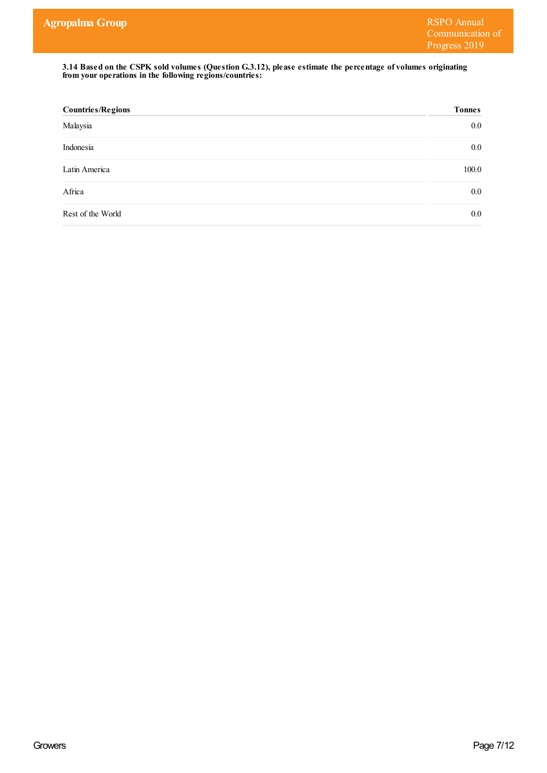**3.14 Based on the CSPK sold volumes (Question G.3.12), please estimate the percentage of volumes originating from your operations in the following regions/countries:**

| <b>Countries/Regions</b> | <b>Tonnes</b> |
|--------------------------|---------------|
| Malaysia                 | $0.0\,$       |
| Indonesia                | $0.0\,$       |
| Latin America            | 100.0         |
| Africa                   | $0.0\,$       |
| Rest of the World        | $0.0\,$       |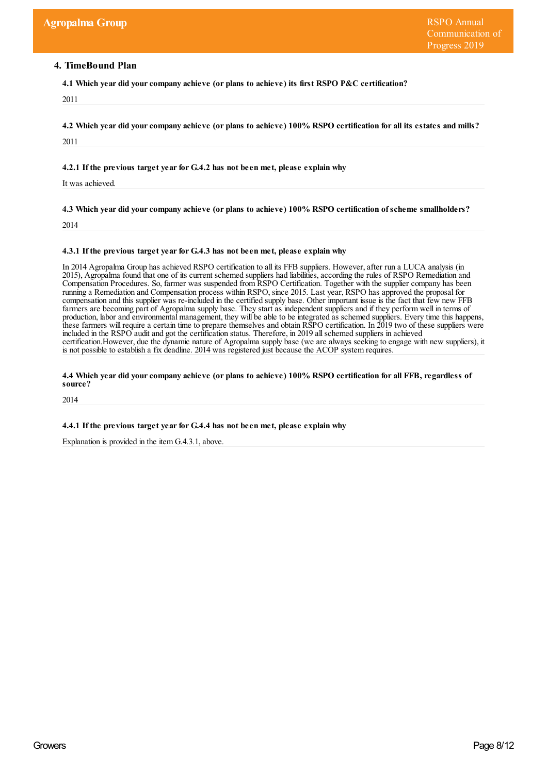## **4. TimeBound Plan**

**4.1 Which year did yourcompany achieve (or plans to achieve) its first RSPO P&C certification?**

2011

4.2 Which year did your company achieve (or plans to achieve) 100% RSPO certification for all its estates and mills?

2011

**4.2.1 If the previous target yearfor G.4.2 has not been met, please explain why**

It was achieved.

**4.3 Which year did yourcompany achieve (or plans to achieve) 100% RSPO certification ofscheme smallholders?**

2014

#### **4.3.1 If the previous target yearfor G.4.3 has not been met, please explain why**

In 2014 Agropalma Group has achieved RSPO certification to all its FFB suppliers. However,after run a LUCA analysis (in 2015), Agropalma found that one of its current schemed suppliers had liabilities, according the rules of RSPO Remediation and Compensation Procedures. So, farmer was suspended from RSPO Certification. Together with the supplier company has been running a Remediation and Compensation process within RSPO, since 2015. Last year, RSPO has approved the proposal for compensation and this supplier was re-included in the certified supply base. Other important issue is the fact that few new FFB farmers are becoming part of Agropalma supply base. They start as independent suppliers and if they perform well in terms of production, labor and environmental management, they will be able to be integrated as schemed suppliers. Every time this happens, these farmers will require a certain time to prepare themselves and obtain RSPO certification. In 2019 two of these suppliers were included in the RSPO audit and got the certification status. Therefore, in 2019 allschemed suppliers in achieved certification.However, due the dynamic nature of Agropalma supply base (we are always seeking to engage with new suppliers), it is not possible to establish a fix deadline. 2014 was registered just because the ACOP system requires.

#### 4.4 Which year did your company achieve (or plans to achieve) 100% RSPO certification for all FFB, regardless of **source?**

2014

**4.4.1 If the previous target yearfor G.4.4 has not been met, please explain why**

Explanation is provided in the item G.4.3.1, above.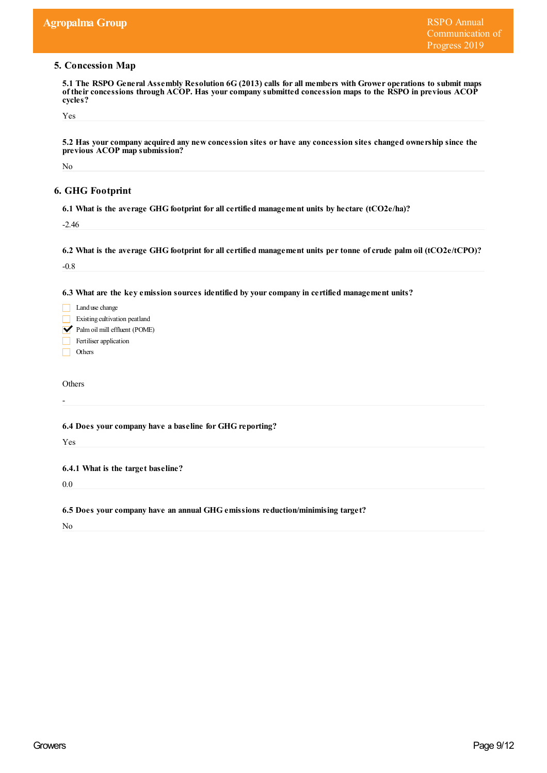## **5. Concession Map**

5.1 The RSPO General Assembly Resolution 6G (2013) calls for all members with Grower operations to submit maps **of theirconcessions through ACOP. Has yourcompany submitted concession maps to the RSPO in previous ACOP cycles?**

Yes

5.2 Has your company acquired any new concession sites or have any concession sites changed ownership since the **previous ACOP map submission?**

No

# **6. GHG Footprint**

**6.1 What is the average GHG footprint for all certified management units by hectare (tCO2e/ha)?**

-2.46

6.2 What is the average GHG footprint for all certified management units per tonne of crude palm oil (tCO2e/tCPO)?

-0.8

**6.3 What are the key emission sources identified by yourcompany in certified management units?**

| Land use change               |
|-------------------------------|
| Existing cultivation peatland |
| Palm oil mill effluent (POME) |
| Fertiliser application        |
| Others                        |

**Others** 

-

**6.4 Does yourcompany have a baseline for GHG reporting?**

Yes

**6.4.1 What is the target baseline?**

0.0

**6.5 Does yourcompany have an annual GHG emissions reduction/minimising target?**

No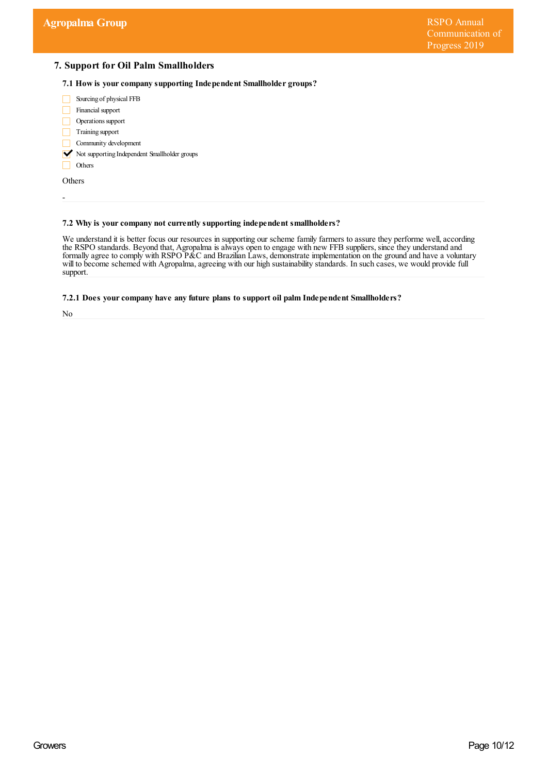# **7. Support for Oil Palm Smallholders**

**7.1 How is yourcompany supporting Independent Smallholder groups?**



## **7.2 Why is yourcompany not currently supporting independent smallholders?**

We understand it is better focus our resources in supporting our scheme family farmers to assure they performe well, according the RSPO standards. Beyond that, Agropalma is always open to engage with new FFB suppliers, since they understand and formally agree to comply with RSPO P&C and Brazilian Laws, demonstrate implementation on the ground and have a voluntary will to become schemed with Agropalma, agreeing with our high sustainability standards. In such cases, we would provide full support.

#### **7.2.1 Does yourcompany have any future plans to support oil palm Independent Smallholders?**

No

-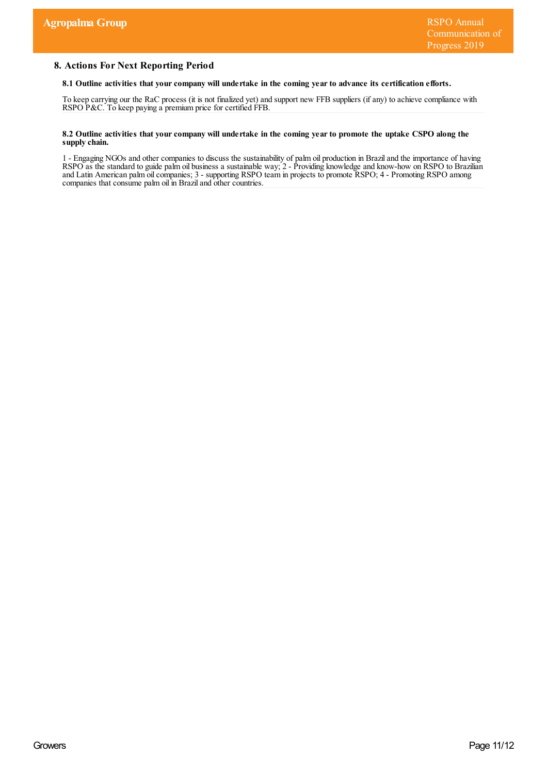## **8. Actions For Next Reporting Period**

#### **8.1 Outline activities that yourcompany will undertake in the coming yearto advance its certification efforts.**

To keep carrying our the RaC process (it is not finalized yet) and support new FFB suppliers (if any) to achieve compliance with RSPO P&C. To keep paying a premium price for certified FFB.

#### 8.2 Outline activities that your company will undertake in the coming year to promote the uptake CSPO along the **supply chain.**

1 - Engaging NGOs and other companies to discuss the sustainability of palm oil production in Braziland the importance of having RSPO as the standard to guide palm oil business a sustainable way; 2 - Providing knowledge and know-how on RSPO to Brazilian and Latin American palm oilcompanies; 3 - supporting RSPO team in projects to promote RSPO; 4 - Promoting RSPO among companies that consume palm oil in Braziland other countries.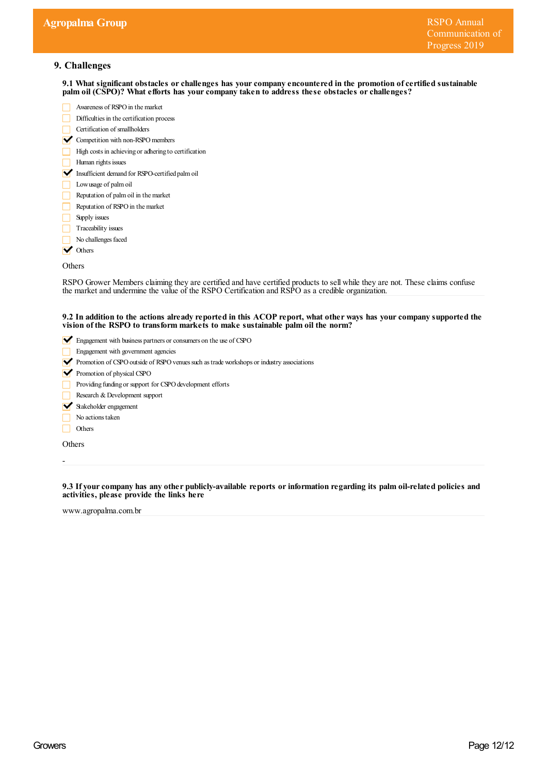# **9. Challenges**

**9.1 What significant obstacles orchallenges has yourcompany encountered in the promotion ofcertified sustainable palm oil (CSPO)? What efforts has yourcompany taken to address these obstacles orchallenges?**

- Awareness of RSPO in the market Difficulties in the certification process Certification of smallholders  $\triangleright$  Competition with non-RSPO members
- High costs in achieving or adhering to certification
- Human rights issues
- Insufficient demand for RSPO-certified palm oil
- Lowusage of palmoil
- Reputation of palmoil in themarket
- Reputation of RSPO in the market
- $\Box$  Supply issues
- $\Box$  Traceability issues
- No challenges faced
- **V** Others

Others

RSPO Grower Members claiming they are certified and have certified products to sell while they are not. These claims confuse the market and undermine the value of the RSPO Certification and RSPO as a credible organization.

#### 9.2 In addition to the actions already reported in this ACOP report, what other ways has your company supported the **vision of the RSPO to transform markets to make sustainable palm oil the norm?**

- Engagement with business partners or consumers on the use of CSPO
- Engagement with government agencies
- Promotion of CSPO outside of RSPO venues such as trade workshops or industry associations
- Promotion of physical CSPO
- Providing funding or support for CSPO development efforts
- Research & Development support
- Stakeholder engagement
- No actions taken
- $\Box$  Others

**Others** 

-

**9.3 If yourcompany has any other publicly-available reports orinformation regarding its palm oil-related policies and activities, please provide the links here**

www.agropalma.com.br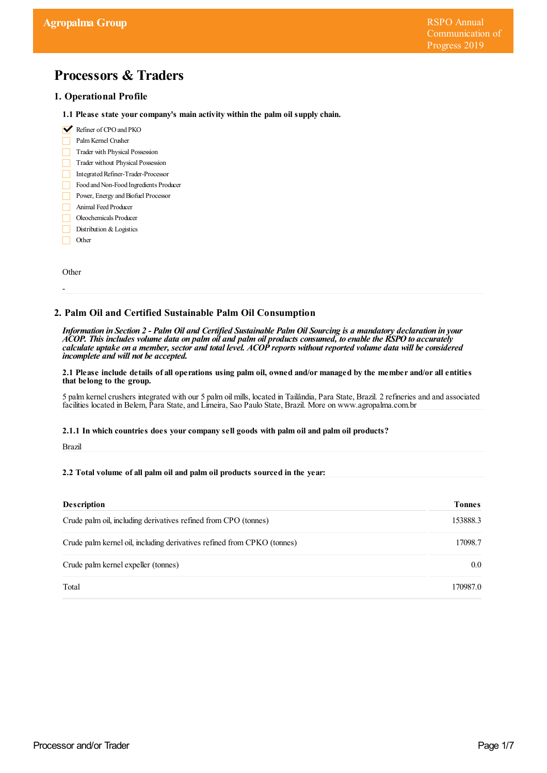# **Processors & Traders**

## **1. Operational Profile**

- **1.1 Please state yourcompany's main activity within the palm oil supply chain.**
- Refiner of CPO and PKO
- PalmKernel Crusher
- Trader with Physical Possession
- Trader without Physical Possession
- Integrated Refiner-Trader-Processor
- Food and Non-Food Ingredients Producer
- Power, Energy and Biofuel Processor
- Animal Feed Producer
- Oleochemicals Producer
- Distribution & Logistics
- Other П

**Other** 

-

## **2. Palm Oil and Certified Sustainable Palm Oil Consumption**

Information in Section 2 - Palm Oil and Certified Sustainable Palm Oil Sourcing is a mandatory declaration in your ACOP. This includes volume data on palm oil and palm oil products consumed, to enable the RSPO to accurately calculate uptake on a member, sector and total level. ACOP reports without reported volume data will be considered *incomplete and will not be accepted.*

#### 2.1 Please include details of all operations using palm oil, owned and/or managed by the member and/or all entities **that belong to the group.**

5 palm kernel crushers integrated with our 5 palm oil mills, located in Tailândia, Para State, Brazil. 2 refineries and and associated facilities located in Belem, Para State,and Limeira, Sao Paulo State, Brazil. More on www.agropalma.com.br

## **2.1.1 In which countries does yourcompany sell goods with palm oil and palm oil products?**

Brazil

## **2.2 Total volume of all palm oil and palm oil products sourced in the year:**

| <b>Description</b>                                                      | Tonnes   |
|-------------------------------------------------------------------------|----------|
| Crude palm oil, including derivatives refined from CPO (tonnes)         | 153888.3 |
| Crude palm kernel oil, including derivatives refined from CPKO (tonnes) | 17098.7  |
| Crude palm kernel expeller (tonnes)                                     | $0.0\,$  |
| Total                                                                   | 170987.0 |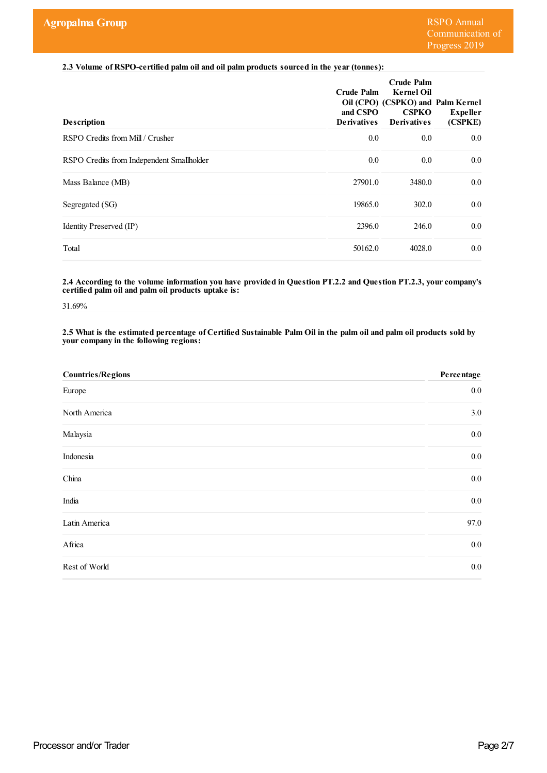**2.3 Volume of RSPO-certified palm oil and oil palm products sourced in the year(tonnes):**

| <b>Description</b>                        | <b>Crude Palm</b><br>and CSPO<br><b>Derivatives</b> | <b>Crude Palm</b><br><b>Kernel Oil</b><br>Oil (CPO) (CSPKO) and Palm Kernel<br><b>CSPKO</b><br><b>Derivatives</b> | <b>Expeller</b><br>(CSPKE) |
|-------------------------------------------|-----------------------------------------------------|-------------------------------------------------------------------------------------------------------------------|----------------------------|
| RSPO Credits from Mill / Crusher          | 0.0                                                 | 0.0                                                                                                               | 0.0                        |
| RSPO Credits from Independent Smallholder | 0.0                                                 | 0.0                                                                                                               | 0.0                        |
| Mass Balance (MB)                         | 27901.0                                             | 3480.0                                                                                                            | 0.0                        |
| Segregated (SG)                           | 19865.0                                             | 302.0                                                                                                             | 0.0                        |
| Identity Preserved (IP)                   | 2396.0                                              | 246.0                                                                                                             | 0.0                        |
| Total                                     | 50162.0                                             | 4028.0                                                                                                            | 0.0                        |

**2.4 According to the volume information you have provided in Question PT.2.2 and Question PT.2.3, yourcompany's certified palm oil and palm oil products uptake is:**

31.69%

2.5 What is the estimated percentage of Certified Sustainable Palm Oil in the palm oil and palm oil products sold by **yourcompany in the following regions:**

| <b>Countries/Regions</b> | Percentage |
|--------------------------|------------|
| Europe                   | $0.0\,$    |
| North America            | 3.0        |
| Malaysia                 | $0.0\,$    |
| Indonesia                | $0.0\,$    |
| China                    | $0.0\,$    |
| India                    | $0.0\,$    |
| Latin America            | 97.0       |
| Africa                   | $0.0\,$    |
| Rest of World            | $0.0\,$    |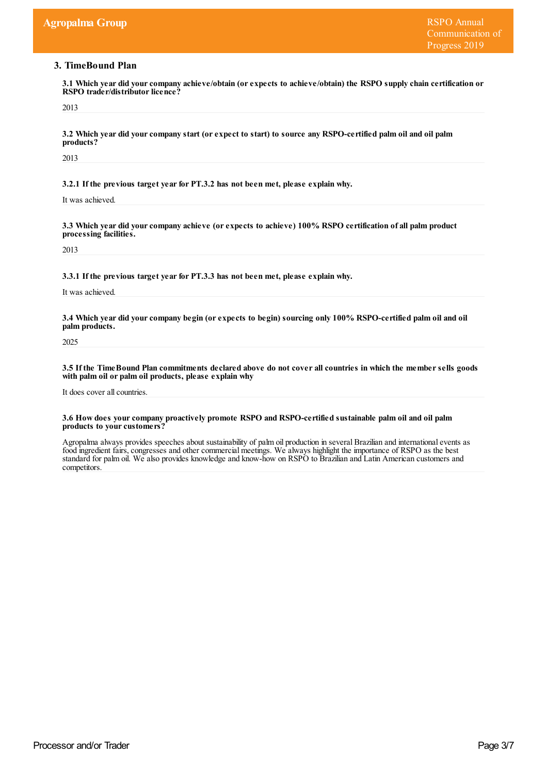# **3. TimeBound Plan**

**3.1 Which year did yourcompany achieve/obtain (orexpects to achieve/obtain) the RSPO supply chain certification or RSPO** trader/distributor licence?

2013

3.2 Which year did your company start (or expect to start) to source any RSPO-certified palm oil and oil palm **products?**

2013

**3.2.1 If the previous target yearfor PT.3.2 has not been met, please explain why.**

It was achieved.

**3.3 Which year did yourcompany achieve (orexpects to achieve) 100% RSPO certification of all palm product processing facilities.**

2013

**3.3.1 If the previous target yearfor PT.3.3 has not been met, please explain why.**

It was achieved.

3.4 Which year did your company begin (or expects to begin) sourcing only 100% RSPO-certified palm oil and oil **palm products.**

2025

3.5 If the Time Bound Plan commitments declared above do not cover all countries in which the member sells goods **with palm oil or palm oil products, please explain why**

It does cover all countries.

#### **3.6 How does yourcompany proactively promote RSPO and RSPO-certified sustainable palm oil and oil palm** products to your customers?

Agropalma always provides speeches about sustainability of palm oil production in several Brazilian and internationalevents as food ingredient fairs, congresses and other commercial meetings. We always highlight the importance of RSPO as the best standard for palm oil. We also provides knowledge and know-how on RSPO to Brazilian and Latin American customers and competitors.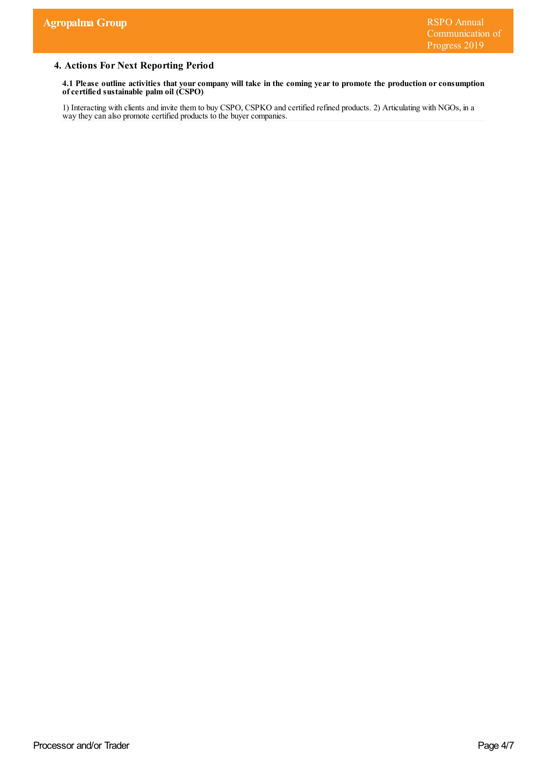# **4. Actions For Next Reporting Period**

4.1 Please outline activities that your company will take in the coming year to promote the production or consumption **ofcertified sustainable palm oil (CSPO)**

1) Interacting with clients and invite them to buy CSPO, CSPKO and certified refined products. 2) Articulating with NGOs, in a way they can also promote certified products to the buyer companies.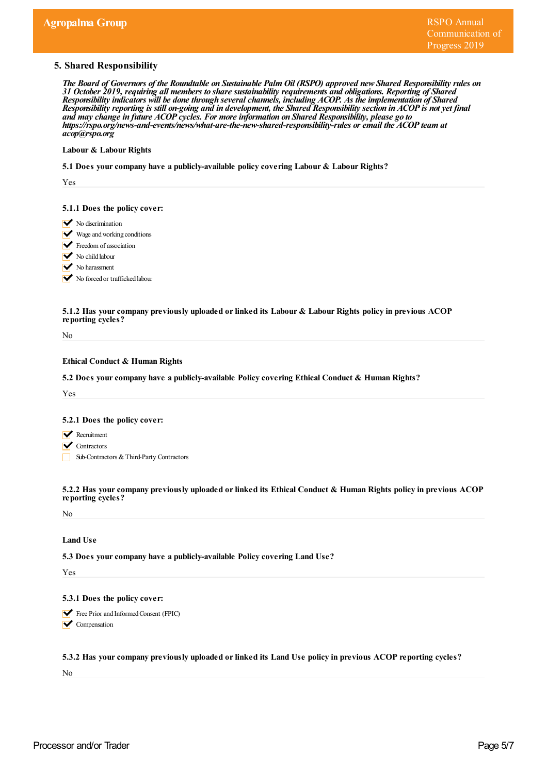## **5. Shared Responsibility**

The Board of Governors of the Roundtable on Sustainable Palm Oil (RSPO) approved new Shared Responsibility rules on *31 October 2019, requiring all members to share sustainability requirements and obligations. Reporting of Shared Responsibility indicators will be done through severalchannels, including ACOP. As the implementation of Shared* Responsibility reporting is still on-going and in development, the Shared Responsibility section in ACOP is not yet final *and may change in future ACOP cycles. For more information on Shared Responsibility, please go to https:/ rspo.org/news-and-events/news/what-are-the-new-shared-responsibility-rules or email the ACOP team at acop@rspo.org*

#### **Labour & Labour Rights**

**5.1 Does yourcompany have a publicly-available policy covering Labour & Labour Rights?**

Yes

#### **5.1.1 Does the policy cover:**

- $\triangleright$  No discrimination
- Wage and working conditions
- Freedom of association
- No child labour
- No harassment

No forced or trafficked labour

#### **5.1.2 Has yourcompany previously uploaded orlinked its Labour & Labour Rights policy in previous ACOP reporting cycles?**

No

## **Ethical Conduct & Human Rights**

**5.2 Does yourcompany have a publicly-available Policy covering Ethical Conduct & Human Rights?**

Yes

#### **5.2.1 Does the policy cover:**

- **Recruitment**
- **V** Contractors
- Sub-Contractors&Third-Party Contractors

**5.2.2 Has yourcompany previously uploaded orlinked its Ethical Conduct & Human Rights policy in previous ACOP reporting cycles?**

No

#### **Land Use**

**5.3 Does yourcompany have a publicly-available Policy covering Land Use?**

Yes

#### **5.3.1 Does the policy cover:**

Free Prior and Informed Consent (FPIC) **V** Compensation

**5.3.2 Has yourcompany previously uploaded orlinked its Land Use policy in previous ACOP reporting cycles?**

No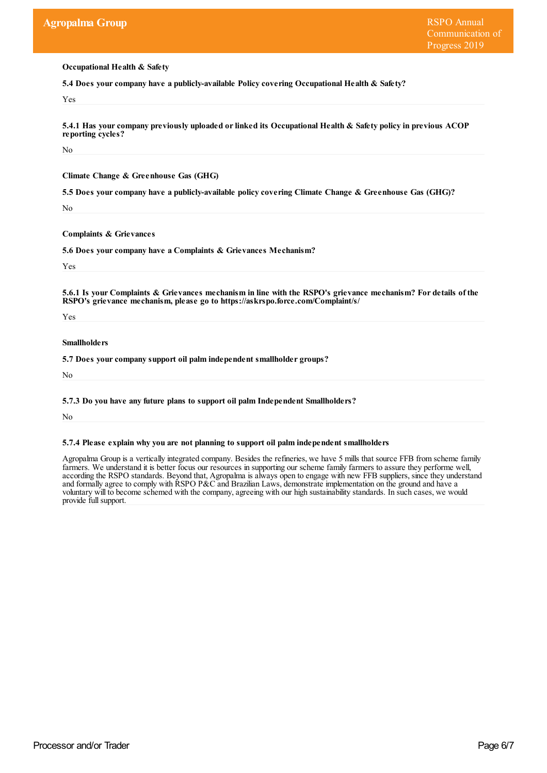**Occupational Health & Safety**

**5.4 Does yourcompany have a publicly-available Policy covering Occupational Health & Safety?**

Yes

**5.4.1 Has yourcompany previously uploaded orlinked its Occupational Health & Safety policy in previous ACOP reporting cycles?**

No

**Climate Change & Greenhouse Gas (GHG)**

**5.5 Does yourcompany have a publicly-available policy covering Climate Change & Greenhouse Gas (GHG)?**

No

**Complaints & Grievances**

**5.6 Does yourcompany have a Complaints & Grievances Mechanism?**

Yes

5.6.1 Is your Complaints & Grievances mechanism in line with the RSPO's grievance mechanism? For details of the **RSPO's grievance mechanism, please go to https://askrspo.force.com/Complaint/s/**

Yes

**Smallholders**

**5.7 Does yourcompany support oil palm independent smallholder groups?**

No

**5.7.3 Do you have any future plans to support oil palm Independent Smallholders?**

No

**5.7.4 Please explain why you are not planning to support oil palm independent smallholders**

Agropalma Group is a vertically integrated company. Besides the refineries, we have 5 mills that source FFB from scheme family farmers. We understand it is better focus our resources in supporting our scheme family farmers to assure they performe well, according the RSPO standards. Beyond that, Agropalma is always open to engage with new FFB suppliers, since they understand and formally agree to comply with RSPO P&C and Brazilian Laws, demonstrate implementation on the ground and have a voluntary will to become schemed with the company, agreeing with our high sustainability standards. In such cases, we would provide full support.